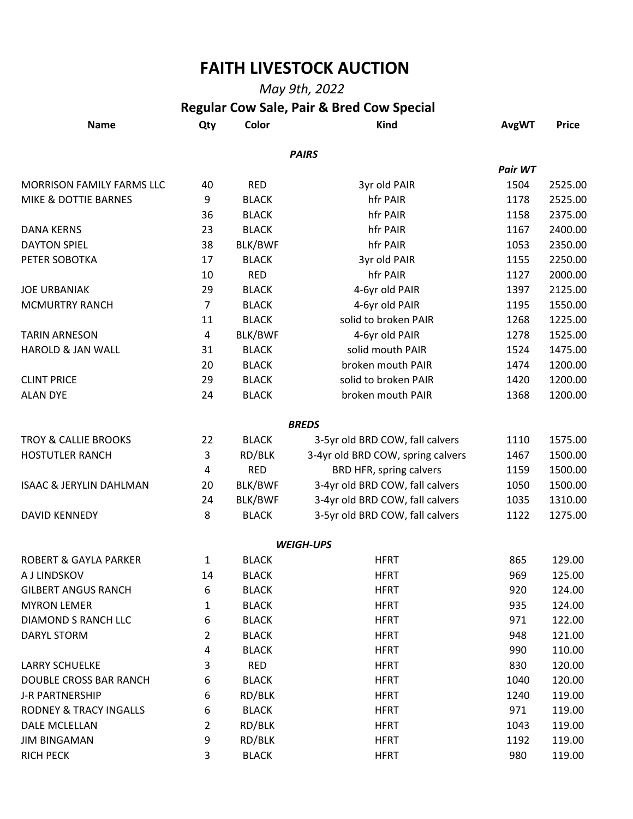## **FAITH LIVESTOCK AUCTION**

## *May 9th, 2022*   **Regular Cow Sale, Pair & Bred Cow Special**

|                                    | Regular COW Sale, Fair & Dieu COW Special |              |                                   |              |              |
|------------------------------------|-------------------------------------------|--------------|-----------------------------------|--------------|--------------|
| <b>Name</b>                        | Qty                                       | Color        | <b>Kind</b>                       | <b>AvgWT</b> | <b>Price</b> |
|                                    |                                           |              | <b>PAIRS</b>                      |              |              |
|                                    |                                           |              |                                   | Pair WT      |              |
| MORRISON FAMILY FARMS LLC          | 40                                        | <b>RED</b>   | 3yr old PAIR                      | 1504         | 2525.00      |
| MIKE & DOTTIE BARNES               | 9                                         | <b>BLACK</b> | hfr PAIR                          | 1178         | 2525.00      |
|                                    | 36                                        | <b>BLACK</b> | hfr PAIR                          | 1158         | 2375.00      |
| <b>DANA KERNS</b>                  | 23                                        | <b>BLACK</b> | hfr PAIR                          | 1167         | 2400.00      |
| <b>DAYTON SPIEL</b>                | 38                                        | BLK/BWF      | hfr PAIR                          | 1053         | 2350.00      |
| PETER SOBOTKA                      | 17                                        | <b>BLACK</b> | 3yr old PAIR                      | 1155         | 2250.00      |
|                                    | 10                                        | <b>RED</b>   | hfr PAIR                          | 1127         | 2000.00      |
| <b>JOE URBANIAK</b>                | 29                                        | <b>BLACK</b> | 4-6yr old PAIR                    | 1397         | 2125.00      |
| <b>MCMURTRY RANCH</b>              | $\overline{7}$                            | <b>BLACK</b> | 4-6yr old PAIR                    | 1195         | 1550.00      |
|                                    | 11                                        | <b>BLACK</b> | solid to broken PAIR              | 1268         | 1225.00      |
| <b>TARIN ARNESON</b>               | $\overline{a}$                            | BLK/BWF      | 4-6yr old PAIR                    | 1278         | 1525.00      |
| <b>HAROLD &amp; JAN WALL</b>       | 31                                        | <b>BLACK</b> | solid mouth PAIR                  | 1524         | 1475.00      |
|                                    | 20                                        | <b>BLACK</b> | broken mouth PAIR                 | 1474         | 1200.00      |
| <b>CLINT PRICE</b>                 | 29                                        | <b>BLACK</b> | solid to broken PAIR              | 1420         | 1200.00      |
| <b>ALAN DYE</b>                    | 24                                        | <b>BLACK</b> | broken mouth PAIR                 | 1368         | 1200.00      |
|                                    |                                           |              |                                   |              |              |
|                                    |                                           |              | <b>BREDS</b>                      |              |              |
| <b>TROY &amp; CALLIE BROOKS</b>    | 22                                        | <b>BLACK</b> | 3-5yr old BRD COW, fall calvers   | 1110         | 1575.00      |
| <b>HOSTUTLER RANCH</b>             | 3                                         | RD/BLK       | 3-4yr old BRD COW, spring calvers | 1467         | 1500.00      |
|                                    | $\overline{a}$                            | <b>RED</b>   | BRD HFR, spring calvers           | 1159         | 1500.00      |
| <b>ISAAC &amp; JERYLIN DAHLMAN</b> | 20                                        | BLK/BWF      | 3-4yr old BRD COW, fall calvers   | 1050         | 1500.00      |
|                                    | 24                                        | BLK/BWF      | 3-4yr old BRD COW, fall calvers   | 1035         | 1310.00      |
| <b>DAVID KENNEDY</b>               | 8                                         | <b>BLACK</b> | 3-5yr old BRD COW, fall calvers   | 1122         | 1275.00      |
|                                    |                                           |              | <b>WEIGH-UPS</b>                  |              |              |
| <b>ROBERT &amp; GAYLA PARKER</b>   | $\mathbf{1}$                              | <b>BLACK</b> | <b>HFRT</b>                       | 865          | 129.00       |
| A J LINDSKOV                       | 14                                        | <b>BLACK</b> | <b>HFRT</b>                       | 969          | 125.00       |
| <b>GILBERT ANGUS RANCH</b>         | 6                                         | <b>BLACK</b> | <b>HFRT</b>                       | 920          | 124.00       |
| <b>MYRON LEMER</b>                 | 1                                         | <b>BLACK</b> | <b>HFRT</b>                       | 935          | 124.00       |
| DIAMOND S RANCH LLC                | 6                                         | <b>BLACK</b> | <b>HFRT</b>                       | 971          | 122.00       |
| DARYL STORM                        | 2                                         | <b>BLACK</b> | <b>HFRT</b>                       | 948          | 121.00       |
|                                    | 4                                         | <b>BLACK</b> | <b>HFRT</b>                       | 990          | 110.00       |
| <b>LARRY SCHUELKE</b>              | 3                                         | <b>RED</b>   | <b>HFRT</b>                       | 830          | 120.00       |
| DOUBLE CROSS BAR RANCH             | 6                                         | <b>BLACK</b> | <b>HFRT</b>                       | 1040         | 120.00       |
| <b>J-R PARTNERSHIP</b>             | 6                                         | RD/BLK       | <b>HFRT</b>                       | 1240         | 119.00       |
| <b>RODNEY &amp; TRACY INGALLS</b>  | 6                                         | <b>BLACK</b> | <b>HFRT</b>                       | 971          | 119.00       |
| <b>DALE MCLELLAN</b>               | 2                                         | RD/BLK       | <b>HFRT</b>                       | 1043         | 119.00       |
| <b>JIM BINGAMAN</b>                | 9                                         | RD/BLK       | <b>HFRT</b>                       | 1192         | 119.00       |
| <b>RICH PECK</b>                   | 3                                         | <b>BLACK</b> | <b>HFRT</b>                       | 980          | 119.00       |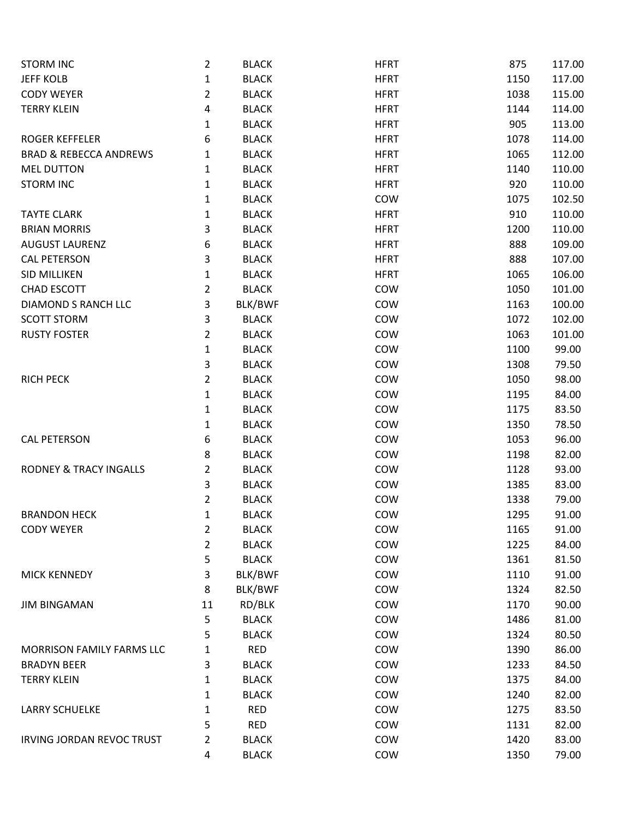| <b>STORM INC</b>                  | $\overline{2}$ | <b>BLACK</b> | <b>HFRT</b> | 875  | 117.00 |
|-----------------------------------|----------------|--------------|-------------|------|--------|
| <b>JEFF KOLB</b>                  | $\mathbf{1}$   | <b>BLACK</b> | <b>HFRT</b> | 1150 | 117.00 |
| <b>CODY WEYER</b>                 | $\overline{2}$ | <b>BLACK</b> | <b>HFRT</b> | 1038 | 115.00 |
| <b>TERRY KLEIN</b>                | 4              | <b>BLACK</b> | <b>HFRT</b> | 1144 | 114.00 |
|                                   | 1              | <b>BLACK</b> | <b>HFRT</b> | 905  | 113.00 |
| <b>ROGER KEFFELER</b>             | 6              | <b>BLACK</b> | <b>HFRT</b> | 1078 | 114.00 |
| <b>BRAD &amp; REBECCA ANDREWS</b> | 1              | <b>BLACK</b> | <b>HFRT</b> | 1065 | 112.00 |
| <b>MEL DUTTON</b>                 | 1              | <b>BLACK</b> | <b>HFRT</b> | 1140 | 110.00 |
| <b>STORM INC</b>                  | 1              | <b>BLACK</b> | <b>HFRT</b> | 920  | 110.00 |
|                                   | 1              | <b>BLACK</b> | COW         | 1075 | 102.50 |
| <b>TAYTE CLARK</b>                | 1              | <b>BLACK</b> | <b>HFRT</b> | 910  | 110.00 |
| <b>BRIAN MORRIS</b>               | 3              | <b>BLACK</b> | <b>HFRT</b> | 1200 | 110.00 |
| <b>AUGUST LAURENZ</b>             | 6              | <b>BLACK</b> | <b>HFRT</b> | 888  | 109.00 |
| <b>CAL PETERSON</b>               | 3              | <b>BLACK</b> | <b>HFRT</b> | 888  | 107.00 |
| <b>SID MILLIKEN</b>               | $\mathbf{1}$   | <b>BLACK</b> | <b>HFRT</b> | 1065 | 106.00 |
| <b>CHAD ESCOTT</b>                | $\overline{2}$ | <b>BLACK</b> | COW         | 1050 | 101.00 |
| DIAMOND S RANCH LLC               | 3              | BLK/BWF      | COW         | 1163 | 100.00 |
| <b>SCOTT STORM</b>                | 3              | <b>BLACK</b> | COW         | 1072 | 102.00 |
| <b>RUSTY FOSTER</b>               | 2              | <b>BLACK</b> | COW         | 1063 | 101.00 |
|                                   | 1              | <b>BLACK</b> | COW         | 1100 | 99.00  |
|                                   | 3              | <b>BLACK</b> | COW         | 1308 | 79.50  |
| <b>RICH PECK</b>                  | 2              | <b>BLACK</b> | COW         | 1050 | 98.00  |
|                                   | 1              | <b>BLACK</b> | COW         | 1195 | 84.00  |
|                                   | 1              | <b>BLACK</b> | COW         | 1175 | 83.50  |
|                                   | 1              | <b>BLACK</b> | COW         | 1350 | 78.50  |
| <b>CAL PETERSON</b>               | 6              | <b>BLACK</b> | COW         | 1053 | 96.00  |
|                                   | 8              | <b>BLACK</b> | COW         | 1198 | 82.00  |
| <b>RODNEY &amp; TRACY INGALLS</b> | 2              | <b>BLACK</b> | COW         | 1128 | 93.00  |
|                                   | 3              | <b>BLACK</b> | COW         | 1385 | 83.00  |
|                                   | $\overline{2}$ | <b>BLACK</b> | COW         | 1338 | 79.00  |
| <b>BRANDON HECK</b>               | $\mathbf{1}$   | <b>BLACK</b> | COW         | 1295 | 91.00  |
| <b>CODY WEYER</b>                 | $\overline{2}$ | <b>BLACK</b> | COW         | 1165 | 91.00  |
|                                   | 2              | <b>BLACK</b> | COW         | 1225 | 84.00  |
|                                   | 5              | <b>BLACK</b> | COW         | 1361 | 81.50  |
| <b>MICK KENNEDY</b>               | 3              | BLK/BWF      | COW         | 1110 | 91.00  |
|                                   | 8              | BLK/BWF      | COW         | 1324 | 82.50  |
| <b>JIM BINGAMAN</b>               | 11             | RD/BLK       | COW         | 1170 | 90.00  |
|                                   | 5              | <b>BLACK</b> | COW         | 1486 | 81.00  |
|                                   | 5              | <b>BLACK</b> | COW         | 1324 | 80.50  |
| <b>MORRISON FAMILY FARMS LLC</b>  | 1              | <b>RED</b>   | COW         | 1390 | 86.00  |
| <b>BRADYN BEER</b>                | 3              | <b>BLACK</b> | COW         | 1233 | 84.50  |
| <b>TERRY KLEIN</b>                | 1              | <b>BLACK</b> | COW         | 1375 | 84.00  |
|                                   | 1              | <b>BLACK</b> | COW         | 1240 | 82.00  |
| <b>LARRY SCHUELKE</b>             | 1              | <b>RED</b>   | COW         | 1275 | 83.50  |
|                                   | 5              | <b>RED</b>   | COW         | 1131 | 82.00  |
| <b>IRVING JORDAN REVOC TRUST</b>  | 2              | <b>BLACK</b> | COW         | 1420 | 83.00  |
|                                   | 4              | <b>BLACK</b> | COW         | 1350 | 79.00  |